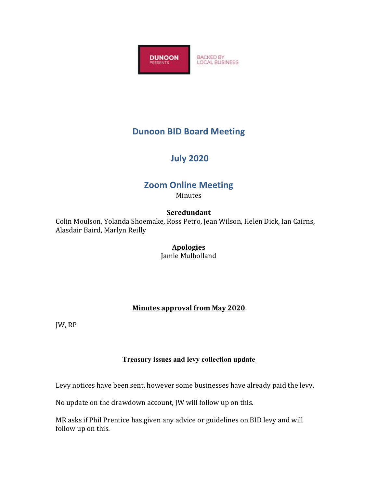

# **Dunoon BID Board Meeting**

# **July 2020**

# **Zoom Online Meeting**

Minutes

### **Seredundant**

Colin Moulson, Yolanda Shoemake, Ross Petro, Jean Wilson, Helen Dick, Ian Cairns, Alasdair Baird, Marlyn Reilly

### **Apologies**

Jamie Mulholland

### **Minutes approval from May 2020**

IW, RP

#### **Treasury issues and levy collection update**

Levy notices have been sent, however some businesses have already paid the levy.

No update on the drawdown account, JW will follow up on this.

MR asks if Phil Prentice has given any advice or guidelines on BID levy and will follow up on this.